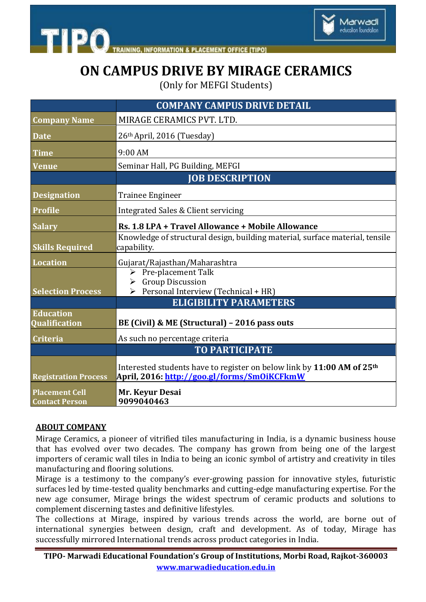

ducation foundation

## **ON CAMPUS DRIVE BY MIRAGE CERAMICS**

(Only for MEFGI Students)

|                                                | <b>COMPANY CAMPUS DRIVE DETAIL</b>                                                                                                |
|------------------------------------------------|-----------------------------------------------------------------------------------------------------------------------------------|
| <b>Company Name</b>                            | MIRAGE CERAMICS PVT. LTD.                                                                                                         |
| <b>Date</b>                                    | 26th April, 2016 (Tuesday)                                                                                                        |
| <b>Time</b>                                    | 9:00 AM                                                                                                                           |
| <b>Venue</b>                                   | Seminar Hall, PG Building, MEFGI                                                                                                  |
|                                                | <b>JOB DESCRIPTION</b>                                                                                                            |
| <b>Designation</b>                             | <b>Trainee Engineer</b>                                                                                                           |
| <b>Profile</b>                                 | Integrated Sales & Client servicing                                                                                               |
| <b>Salary</b>                                  | Rs. 1.8 LPA + Travel Allowance + Mobile Allowance                                                                                 |
| <b>Skills Required</b>                         | Knowledge of structural design, building material, surface material, tensile<br>capability.                                       |
| <b>Location</b>                                | Gujarat/Rajasthan/Maharashtra                                                                                                     |
|                                                | $\triangleright$ Pre-placement Talk<br>$\triangleright$ Group Discussion                                                          |
| <b>Selection Process</b>                       | $\triangleright$ Personal Interview (Technical + HR)                                                                              |
|                                                | <b>ELIGIBILITY PARAMETERS</b>                                                                                                     |
| <b>Education</b><br><b>Qualification</b>       | BE (Civil) & ME (Structural) - 2016 pass outs                                                                                     |
| <b>Criteria</b>                                | As such no percentage criteria                                                                                                    |
|                                                | <b>TO PARTICIPATE</b>                                                                                                             |
| <b>Registration Process</b>                    | Interested students have to register on below link by 11:00 AM of 25 <sup>th</sup><br>April, 2016: http://goo.gl/forms/SmOiKCFkmW |
| <b>Placement Cell</b><br><b>Contact Person</b> | Mr. Keyur Desai<br>9099040463                                                                                                     |

## **ABOUT COMPANY**

**STIPO** 

Mirage Ceramics, a pioneer of vitrified tiles manufacturing in India, is a dynamic business house that has evolved over two decades. The company has grown from being one of the largest importers of ceramic wall tiles in India to being an iconic symbol of artistry and creativity in tiles manufacturing and flooring solutions.

Mirage is a testimony to the company's ever-growing passion for innovative styles, futuristic surfaces led by time-tested quality benchmarks and cutting-edge manufacturing expertise. For the new age consumer, Mirage brings the widest spectrum of ceramic products and solutions to complement discerning tastes and definitive lifestyles.

The collections at Mirage, inspired by various trends across the world, are borne out of international synergies between design, craft and development. As of today, Mirage has successfully mirrored International trends across product categories in India.